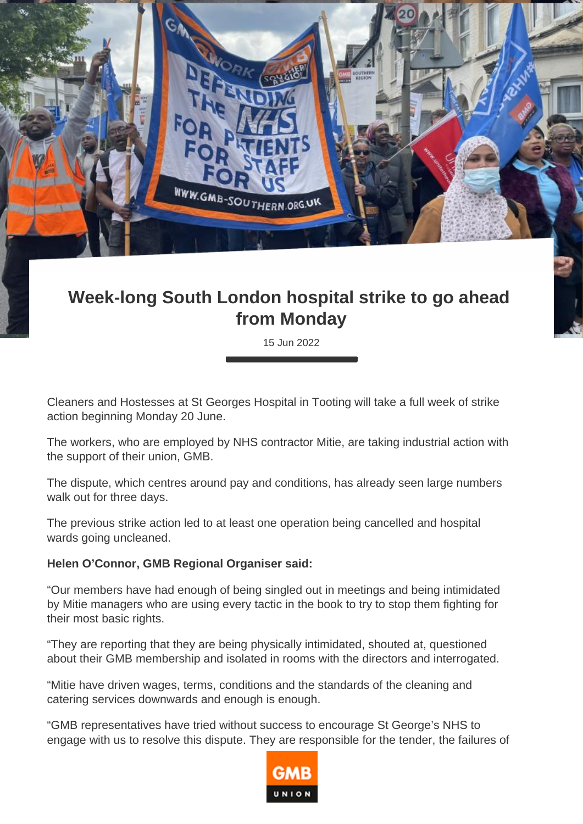

## **Week-long South London hospital strike to go ahead from Monday**

15 Jun 2022

Cleaners and Hostesses at St Georges Hospital in Tooting will take a full week of strike action beginning Monday 20 June.

The workers, who are employed by NHS contractor Mitie, are taking industrial action with the support of their union, GMB.

The dispute, which centres around pay and conditions, has already seen large numbers walk out for three days.

The previous strike action led to at least one operation being cancelled and hospital wards going uncleaned.

## **Helen O'Connor, GMB Regional Organiser said:**

"Our members have had enough of being singled out in meetings and being intimidated by Mitie managers who are using every tactic in the book to try to stop them fighting for their most basic rights.

"They are reporting that they are being physically intimidated, shouted at, questioned about their GMB membership and isolated in rooms with the directors and interrogated.

"Mitie have driven wages, terms, conditions and the standards of the cleaning and catering services downwards and enough is enough.

"GMB representatives have tried without success to encourage St George's NHS to engage with us to resolve this dispute. They are responsible for the tender, the failures of